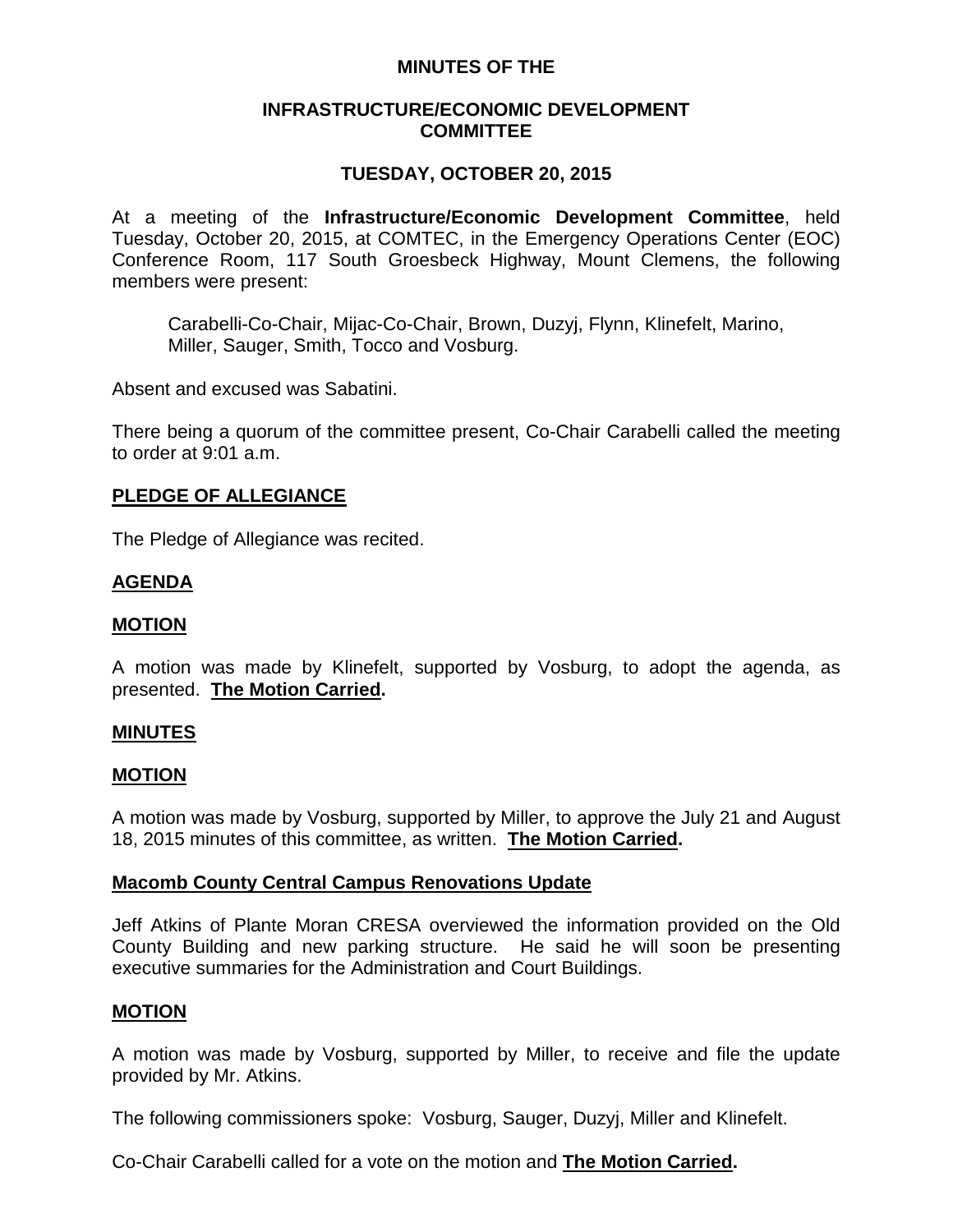## **MINUTES OF THE**

### **INFRASTRUCTURE/ECONOMIC DEVELOPMENT COMMITTEE**

# **TUESDAY, OCTOBER 20, 2015**

At a meeting of the **Infrastructure/Economic Development Committee**, held Tuesday, October 20, 2015, at COMTEC, in the Emergency Operations Center (EOC) Conference Room, 117 South Groesbeck Highway, Mount Clemens, the following members were present:

Carabelli-Co-Chair, Mijac-Co-Chair, Brown, Duzyj, Flynn, Klinefelt, Marino, Miller, Sauger, Smith, Tocco and Vosburg.

Absent and excused was Sabatini.

There being a quorum of the committee present, Co-Chair Carabelli called the meeting to order at 9:01 a.m.

### **PLEDGE OF ALLEGIANCE**

The Pledge of Allegiance was recited.

### **AGENDA**

#### **MOTION**

A motion was made by Klinefelt, supported by Vosburg, to adopt the agenda, as presented. **The Motion Carried.**

#### **MINUTES**

#### **MOTION**

A motion was made by Vosburg, supported by Miller, to approve the July 21 and August 18, 2015 minutes of this committee, as written. **The Motion Carried.**

### **Macomb County Central Campus Renovations Update**

Jeff Atkins of Plante Moran CRESA overviewed the information provided on the Old County Building and new parking structure. He said he will soon be presenting executive summaries for the Administration and Court Buildings.

### **MOTION**

A motion was made by Vosburg, supported by Miller, to receive and file the update provided by Mr. Atkins.

The following commissioners spoke: Vosburg, Sauger, Duzyj, Miller and Klinefelt.

Co-Chair Carabelli called for a vote on the motion and **The Motion Carried.**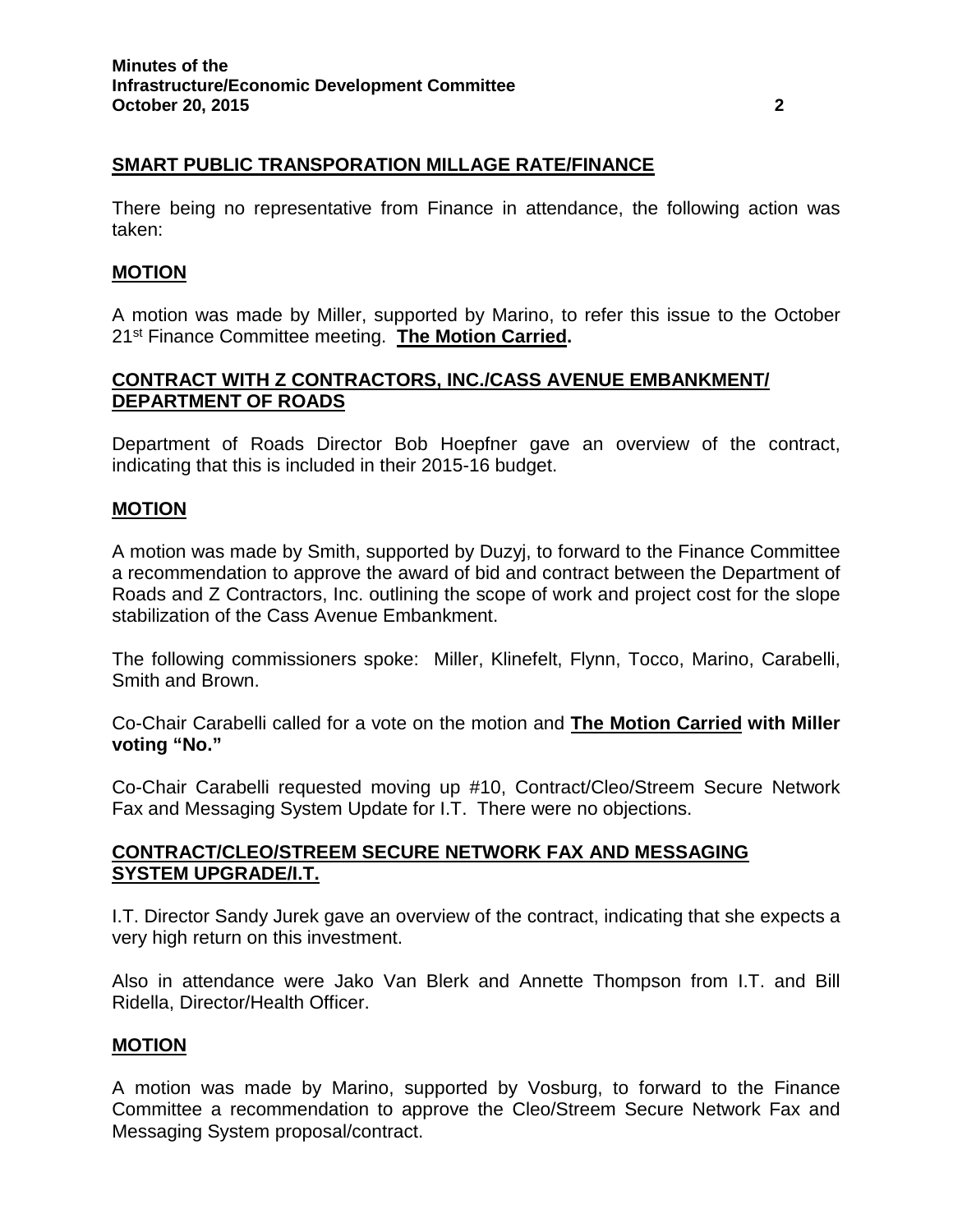# **SMART PUBLIC TRANSPORATION MILLAGE RATE/FINANCE**

There being no representative from Finance in attendance, the following action was taken:

### **MOTION**

A motion was made by Miller, supported by Marino, to refer this issue to the October 21st Finance Committee meeting. **The Motion Carried.**

## **CONTRACT WITH Z CONTRACTORS, INC./CASS AVENUE EMBANKMENT/ DEPARTMENT OF ROADS**

Department of Roads Director Bob Hoepfner gave an overview of the contract, indicating that this is included in their 2015-16 budget.

### **MOTION**

A motion was made by Smith, supported by Duzyj, to forward to the Finance Committee a recommendation to approve the award of bid and contract between the Department of Roads and Z Contractors, Inc. outlining the scope of work and project cost for the slope stabilization of the Cass Avenue Embankment.

The following commissioners spoke: Miller, Klinefelt, Flynn, Tocco, Marino, Carabelli, Smith and Brown.

Co-Chair Carabelli called for a vote on the motion and **The Motion Carried with Miller voting "No."**

Co-Chair Carabelli requested moving up #10, Contract/Cleo/Streem Secure Network Fax and Messaging System Update for I.T. There were no objections.

## **CONTRACT/CLEO/STREEM SECURE NETWORK FAX AND MESSAGING SYSTEM UPGRADE/I.T.**

I.T. Director Sandy Jurek gave an overview of the contract, indicating that she expects a very high return on this investment.

Also in attendance were Jako Van Blerk and Annette Thompson from I.T. and Bill Ridella, Director/Health Officer.

### **MOTION**

A motion was made by Marino, supported by Vosburg, to forward to the Finance Committee a recommendation to approve the Cleo/Streem Secure Network Fax and Messaging System proposal/contract.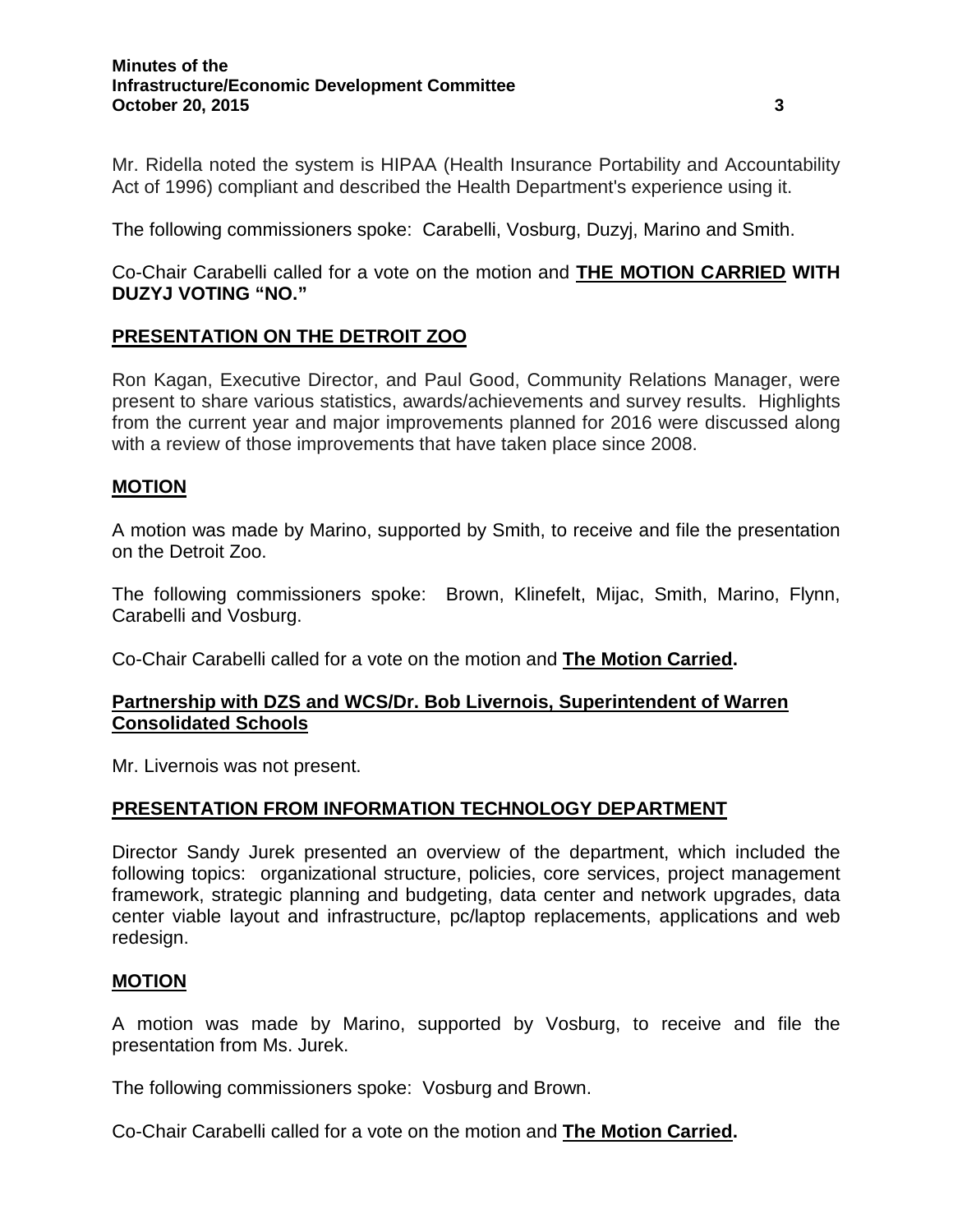#### **Minutes of the Infrastructure/Economic Development Committee October 20, 2015 3**

Mr. Ridella noted the system is HIPAA (Health Insurance Portability and Accountability Act of 1996) compliant and described the Health Department's experience using it.

The following commissioners spoke: Carabelli, Vosburg, Duzyj, Marino and Smith.

Co-Chair Carabelli called for a vote on the motion and **THE MOTION CARRIED WITH DUZYJ VOTING "NO."**

# **PRESENTATION ON THE DETROIT ZOO**

Ron Kagan, Executive Director, and Paul Good, Community Relations Manager, were present to share various statistics, awards/achievements and survey results. Highlights from the current year and major improvements planned for 2016 were discussed along with a review of those improvements that have taken place since 2008.

### **MOTION**

A motion was made by Marino, supported by Smith, to receive and file the presentation on the Detroit Zoo.

The following commissioners spoke: Brown, Klinefelt, Mijac, Smith, Marino, Flynn, Carabelli and Vosburg.

Co-Chair Carabelli called for a vote on the motion and **The Motion Carried.**

### **Partnership with DZS and WCS/Dr. Bob Livernois, Superintendent of Warren Consolidated Schools**

Mr. Livernois was not present.

### **PRESENTATION FROM INFORMATION TECHNOLOGY DEPARTMENT**

Director Sandy Jurek presented an overview of the department, which included the following topics: organizational structure, policies, core services, project management framework, strategic planning and budgeting, data center and network upgrades, data center viable layout and infrastructure, pc/laptop replacements, applications and web redesign.

### **MOTION**

A motion was made by Marino, supported by Vosburg, to receive and file the presentation from Ms. Jurek.

The following commissioners spoke: Vosburg and Brown.

Co-Chair Carabelli called for a vote on the motion and **The Motion Carried.**